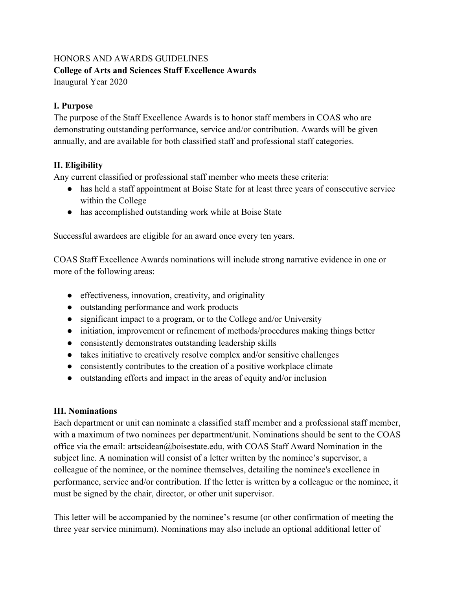#### HONORS AND AWARDS GUIDELINES **College of Arts and Sciences Staff Excellence Awards**

Inaugural Year 2020

## **I. Purpose**

The purpose of the Staff Excellence Awards is to honor staff members in COAS who are demonstrating outstanding performance, service and/or contribution. Awards will be given annually, and are available for both classified staff and professional staff categories.

### **II. Eligibility**

Any current classified or professional staff member who meets these criteria:

- has held a staff appointment at Boise State for at least three years of consecutive service within the College
- has accomplished outstanding work while at Boise State

Successful awardees are eligible for an award once every ten years.

COAS Staff Excellence Awards nominations will include strong narrative evidence in one or more of the following areas:

- effectiveness, innovation, creativity, and originality
- outstanding performance and work products
- significant impact to a program, or to the College and/or University
- initiation, improvement or refinement of methods/procedures making things better
- consistently demonstrates outstanding leadership skills
- takes initiative to creatively resolve complex and/or sensitive challenges
- consistently contributes to the creation of a positive workplace climate
- outstanding efforts and impact in the areas of equity and/or inclusion

# **III. Nominations**

Each department or unit can nominate a classified staff member and a professional staff member, with a maximum of two nominees per department/unit. Nominations should be sent to the COAS office via the email: [artscidean@boisestate.edu](mailto:artscidean@boisestate.edu), with COAS Staff Award Nomination in the subject line. A nomination will consist of a letter written by the nominee's supervisor, a colleague of the nominee, or the nominee themselves, detailing the nominee's excellence in performance, service and/or contribution. If the letter is written by a colleague or the nominee, it must be signed by the chair, director, or other unit supervisor.

This letter will be accompanied by the nominee's resume (or other confirmation of meeting the three year service minimum). Nominations may also include an optional additional letter of